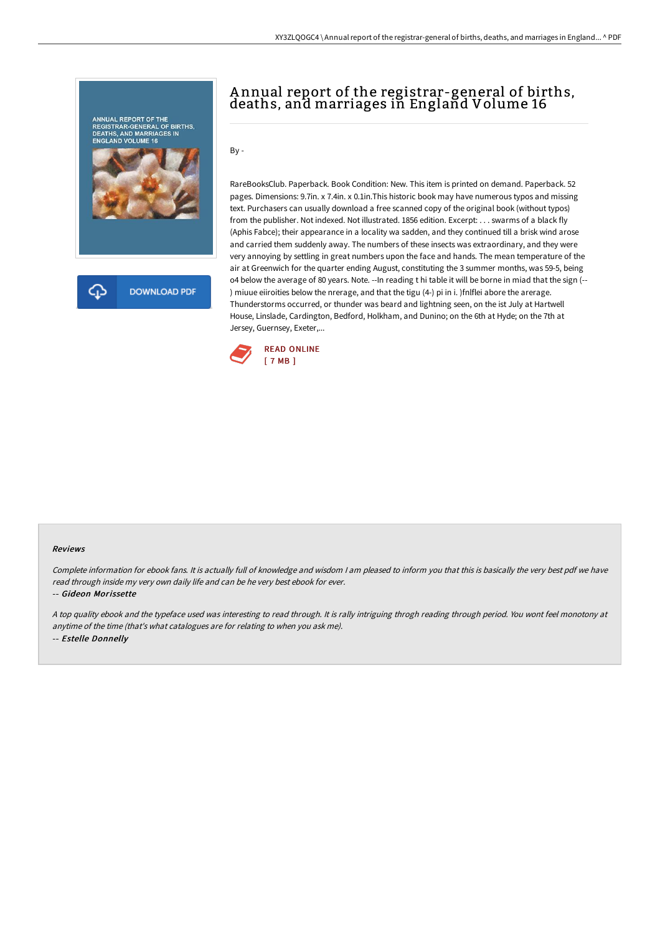

# A nnual report of the registrar-general of births, deaths, and marriages in England Volume 16

By -

RareBooksClub. Paperback. Book Condition: New. This item is printed on demand. Paperback. 52 pages. Dimensions: 9.7in. x 7.4in. x 0.1in.This historic book may have numerous typos and missing text. Purchasers can usually download a free scanned copy of the original book (without typos) from the publisher. Not indexed. Not illustrated. 1856 edition. Excerpt: . . . swarms of a black fly (Aphis Fabce); their appearance in a locality wa sadden, and they continued till a brisk wind arose and carried them suddenly away. The numbers of these insects was extraordinary, and they were very annoying by settling in great numbers upon the face and hands. The mean temperature of the air at Greenwich for the quarter ending August, constituting the 3 summer months, was 59-5, being o4 below the average of 80 years. Note. --In reading t hi table it will be borne in miad that the sign (-- ) miuue eiiroities below the nrerage, and that the tigu (4-) pi in i. )fnlflei abore the arerage. Thunderstorms occurred, or thunder was beard and lightning seen, on the ist July at Hartwell House, Linslade, Cardington, Bedford, Holkham, and Dunino; on the 6th at Hyde; on the 7th at Jersey, Guernsey, Exeter,...



#### Reviews

Complete information for ebook fans. It is actually full of knowledge and wisdom <sup>I</sup> am pleased to inform you that this is basically the very best pdf we have read through inside my very own daily life and can be he very best ebook for ever.

-- Gideon Morissette

<sup>A</sup> top quality ebook and the typeface used was interesting to read through. It is rally intriguing throgh reading through period. You wont feel monotony at anytime of the time (that's what catalogues are for relating to when you ask me). -- Estelle Donnelly